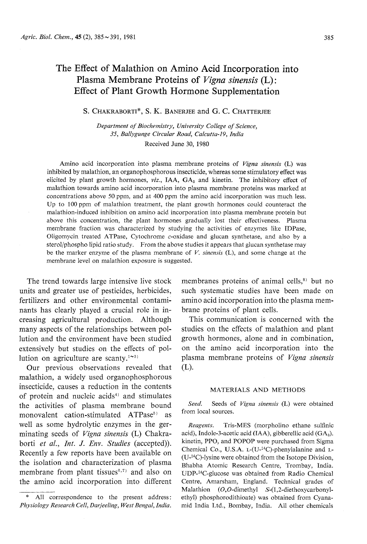## The Effect of Malathion on Amino Acid Incorporation into<br>Plasma Membrane Proteins of *Vigna sinensis* (L):  $\mathbb{R}$  First of Plant Growth Hormone Sunnlementation  $E_{\text{m}}$  and  $E_{\text{m}}$  and  $E_{\text{m}}$  is the HormoneSupplementation

## S. Chakraborti\*, S. K. Banerjee and G. C. Chatterjee

Department of Biochemistry, University College of Science, 35, Ballygunge Circular Road, Calcutta-19, India Received June 30, 1980

Amino acid incorporation into plasma membrane proteins of *Vigna sinensis* (L) was inhibited by malathion, an organophosphorous insecticide, whereas some stimulatory effect was elicited by plant growth hormones,  $viz.$ , IAA,  $GA<sub>3</sub>$  and kinetin. The inhibitory effect of malathion towards amino acid incorporation into plasma membrane proteins was marked at concentrations above 50 ppm, and at 400 ppm the amino acid incorporation was much less. Up to 100 ppm of malathion treatment, the plant growth hormones could counteract the malathion-induced inhibition on amino acid incorporation into plasma membrane protein but above this concentration, the plant hormones gradually lost their effectiveness. Plasma membrane fraction was characterized by studying the activities of enzymes like IDPase, Oligomycin treated ATPase, Cytochrome  $c$ -oxidase and glucan synthetase, and also by a sterol/phospho lipid ratio study. From the above studies it appears that glucan synthetase may sterogeneous step in the most contained ratio study. From the above studies it appears that glucan synthetase may be may be above studies with a position of  $V$  singular  $\mathcal{L}$ .  $\theta$  the marker enzyme of the plasma membraneof  $\theta$ . sinensis (L), and some entire at the membrane level on malathion exposure is suggested.

The trend towards large intensive live stock<br>units and greater use of pesticides, herbicides, fertilizers and other environmental contami nants has clearly played a crucial role in increasing agricultural production. Although<br>many aspects of the relationships between pollution and the environment have been studied extensively but studied on the effects of nol extensively but studies on the effects of pollution on agriculture are scanty.<sup>1 $\sim$ 3)</sup>

Our previous observations revealed that malathion, a widely used organophosphorous malathion, a widely used organophosphorous insecticide, causes a reduction in the content the activities of plasma membrane bound monovalent cation-stimulated ATPase<sup>5)</sup> as well as some hydrolytic enzymes in the germinating seeds of *Vigna sinensis* (L) Chakraborti et al., Int. J. Env. Studies (accepted)).<br>Recently a few reports have been available on the isolation and characterization of plasma membrane from plant tissues $(6,7)$  and also on membrane from plant ussues and also on the amino acid incorporation into different

membranes proteins of animal cells,<sup>8)</sup> but no<br>such systematic studies have been made on amino acid incorporation into the plasma membrane proteins of plant cells.

This communication is concerned with the studies on the effects of malathion and plant growth hormones, alone and in combination, on the amino acid incorporation into the on the amino acid incorporation into the plasma membraneproteins of Vigna sinensis (L).

### MATERIALS AND METHODS

Seed. Seeds of Vigna sinensis (L) were obtained from local sources.<br>Reagents. Tris-MES (morpholino ethane sulfinic

acid), Indole-3-acetic acid (IAA), gibberellic acid ( $GA<sub>3</sub>$ ). kinetin, PPO, and POPOP were purchased from Sigma Chemical Co., U.S.A.  $L$ -(U-<sup>14</sup>C)-phenylalanine and  $L$ - $(U<sup>14</sup>C)$ -lysine were obtained from the Isotope Division, (U-14C)-lysine were obtained from the Isotope Division, Bhabha Atomic Research Centre, Trombay, India. UDP-14G-glucose was obtained from Radio Chemical Centre, Amarsham, England. Technical grades of Malathion  $(O, O$ -dimethyl  $S-(1, 2$ -diethoxycarbonylethyl) phosphorodithioate) was obtained from Cyanamid India Ltd., Bombay, India. All other chemicals

<sup>\*</sup> All correspondence to the present address:<br>Physiology Research Cell, Darjeeling, West Bengal, India.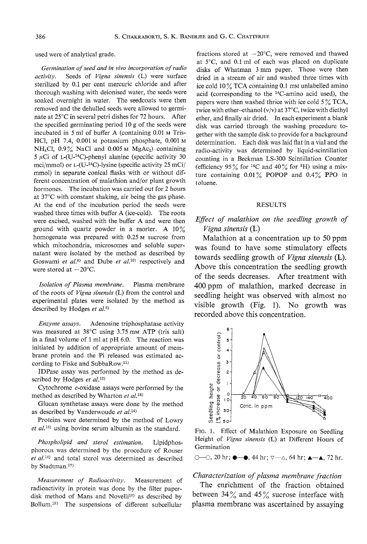$\mathcal{L}$  were of analytical grade.

activity. Seeds of Vigna sinensis (L) were surface sterilized by 0.1 per cent mercuric chloride and after thorough washing with deionised water, the seeds were soaked overnight in water. The seedcoats were then removed and the dehulled seeds were allowed to germinate at  $25^{\circ}$ C in several petri dishes for 72 hours. After the specified germinating period 10 g of the seeds were incubated in 5 ml of buffer A (containing 0.01 m Tris-HCl, pH  $7.4$ , 0.001 M potassium phosphate, 0.001 M  $NH<sub>4</sub>Cl$ , 0.9% NaCl and 0.005 m MgAc<sub>2</sub>) containing 5  $\mu$ Ci of L-(U-<sup>14</sup>C)-phenyl alanine (specific activity 30 mci/mmol) or  $L$ -(U-<sup>14</sup>C)-lysine (specific activity 25 mCi/ mmol) in separate conical flasks with or without different concentration of malathion and/or plant growth hormones. The incubation was carried out for 2 hours at  $37^{\circ}$ C with constant shaking, air being the gas phase. At the end of the incubation period the seeds were. washed three times with buffer A (ice-cold). The roots were excised, washed with the buffer A and were then ground with quartz powder in a morter. A  $10\%$ homogenate was prepared with  $0.25$  m sucrose from which mitochondria, microsomes and soluble supernatant were isolated by the method as described by Goeingni at  $d\ell$ ) and Dube at  $d^{(10)}$  recognized by and Goswami et al. and  $\triangle$  doe et al. respectively and  $\triangle$ were stored at  $-20^{\circ}$ C.

Isolation of Plasma membrane. Plasma membrane<br>of the roots of Vigna sinensis (L) from the control and experimental plates were isolated by the method as described by Hodges et  $al$ .<sup>6)</sup> described by Hodges et a/.6)

Enzyme assays. Adenosine triphosphatase activity was measured at  $38^{\circ}$ C using 3.75 mM ATP (tris salt) in a final volume of 1 ml at  $pH$  6.0. The reaction was initiated by addition of appropriate amount of membrane protein and the Pi released was estimated according to Fiske and SubbaRow.<sup>11)</sup>

IDPase assay was performed by the method as described by Hodges et al.<sup>12)</sup>

Cytochrome c-oxidase assays were performed by the method as described by Wharton et al.<sup>18)</sup>

Glucan synthetase assays were done by the method as described by Vanderwoude  $et$   $al.^{14}$ 

Proteins were determined by the method of Lowry  $p_t$   $d^{(15)}$  yeing boying serum albumin as the standard et o/.16) using bovine serum albumin as the standard.

Phospholipid and sterol estimation. Lipidphosphorous was determined by the procedure of Rouser  $et al.<sup>16</sup>$  and total sterol was determined as described

Measurement of Radioactivity. Measurement of radioactivity in protein was done by the filter paperdisk method of Mans and Novelli<sup>18)</sup> as described by Bollum.<sup>19)</sup> The suspensions of different subcellular

fractions stored at  $-20^{\circ}$ C, were removed and thawed at  $5^{\circ}$ C, and 0.1 ml of each was placed on duplicate disks of Whatman 3 mm paper. Those were then dried in a stream of air and washed three times with ice cold  $10\%$  TCA containing 0.1 mm unlabelled amino acid (corresponding to the  $14C$ -amino acid used), the papers were then washed thrice with ice cold 5  $\%$  TCA, twice with ether-ethanol ( $v/v$ ) at 37°C, twice with diethyl ether, and finally air dried. In each experiment a blank disk was carried through the washing procedure together with the sample disk to provide for a background determination. Each disk was laid flat in a vial and the radio-activity was determined by liquid-scintillation counting in a Beckman LS-300 Scintillation Counter (efficiency  $95\%$  for <sup>14</sup>C and  $40\%$  for <sup>3</sup>H) using a mixture containing  $0.01\%$  POPOP and  $0.4\%$  PPO in toluene.

### RESULTS

## Effect of malathion on the seedling growth of<br>Vigna sinensis  $(L)$

Malathion at a concentration up to 50 ppm  $\frac{1}{\sqrt{2}}$  and  $\frac{1}{\sqrt{2}}$  and  $\frac{1}{\sqrt{2}}$  and  $\frac{1}{\sqrt{2}}$  come stimulatory effects was found to have some summatory effects Above this concentration the seedling growth of the seeds decreases. After treatment with 400 ppm of malathion, marked decrease in seedling height was observed with almost no visible growth (Fig. 1). No growth was



FIG. 1. Effect of Malathion Exposure on Seedling Height of Vigna sinensis (L) at Different Hours of Germination

 $\circ$  -0, 20 hr;  $\bullet$  - $\bullet$ , 44 hr;  $\circ$  - $\triangle$ , 64 hr;  $\triangle$  -A, 72 hr.

## Characterization of plasma membrane fraction

The enrichment of the fraction obtained<br>between  $34\%$  and  $45\%$  sucrose interface with plasma membrane was ascertained by assaying plasma membranewas ascertained by assaying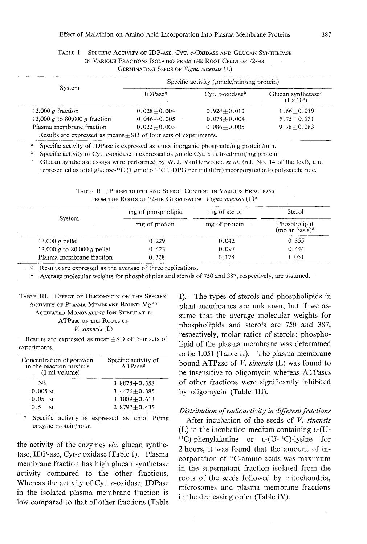### TABLE I. SPECIFIC ACTIVITY OF IDP-ASE5 CTT. C-OXIDASE AND GLUCAN STIVITIETAS in Various Fractions Isolated fram the Root Cells of 72-hr GERMINATING SEEDS OF Vigna sinensis (L)

| System                                                               | Specific activity ( $\mu$ mole/min/mg protein) |                                |                                                     |  |
|----------------------------------------------------------------------|------------------------------------------------|--------------------------------|-----------------------------------------------------|--|
|                                                                      | $IDPase^{\alpha}$                              | Cyt. $c$ -oxidase <sup>b</sup> | Glucan synthetase <sup>e</sup><br>$(1 \times 10^8)$ |  |
| 13,000 $q$ fraction                                                  | $0.028 + 0.004$                                | $0.924 + 0.012$                | $1.66 + 0.019$                                      |  |
| 13,000 $q$ to 80,000 $q$ fraction                                    | $0.046 + 0.005$                                | $0.078 + 0.004$                | $5.75 + 0.131$                                      |  |
| Plasma membrane fraction                                             | $0.022 + 0.003$                                | $0.086 + 0.005$                | $9.78 + 0.083$                                      |  |
| Results are expressed as means $\pm$ SD of four sets of experiments. |                                                |                                |                                                     |  |

<sup>a</sup> Specific activity of IDPase is expressed as  $\mu$ mol inorganic phosphate/mg protein/min.

<sup>b</sup> Specific activity of Cyt. c-oxidase is expressed as  $\mu$ mole Cyt. c utilized/min/mg protein.

<sup>e</sup> Glucan synthetase assays were performed by W. J. VanDerwoude et al. (ref. No. 14 of the text), and represented as total glucose-<sup>14</sup>C (1  $\mu$ mol of <sup>14</sup>C UDPG per millilitre) incorporated into polysaccharide. represented as total glucose-14C (1 /zmol of 14C UDPGper millilitre) incorporated into polysaccharide.

Table II. Those holies and Sterol Content in Various Fractions.

|                             | mg of phospholipid | mg of sterol  | Sterol                            |
|-----------------------------|--------------------|---------------|-----------------------------------|
| System                      | mg of protein      | mg of protein | Phospholipid<br>(molar basis) $*$ |
| 13,000 $q$ pellet           | 0.229              | 0.042         | 0.355                             |
| 13,000 g to 80,000 g pellet | 0.423              | 0.097         | 0.444                             |
| Plasma membrane fraction    | 0.328              | 0.178         | 1.051                             |

a Result is a replication as the average of three replications. \* Average molecular weights for phospholipids and sterols of 750 and 387, respectively, are assumed.

## TABLE III. EFFECT OF OLIGOMYCIN ON THE SPECIFIC<br>ACTIVITY OF PLASMA MEMBRANE BOUND  $Mg^{+2}$ ACTIVATED MONOVALENT ION STIMULATED ATPase OF THE ROOTS OF ATT asc of the Roots of  $V$ . sinensis (L)

Results are expressed as mean $\pm$ SD of four sets of experiments.

| Concentration oligomycin<br>in the reaction mixture<br>$(1 \text{ ml volume})$ | Specific activity of<br>$ATPase^a$ |  |  |
|--------------------------------------------------------------------------------|------------------------------------|--|--|
| Nil                                                                            | $3.8878 + 0.358$                   |  |  |
| 0.005 <sub>M</sub>                                                             | $3.4476 + 0.385$                   |  |  |
| 0.05 <sub>M</sub>                                                              | $3.1089 + 0.613$                   |  |  |
| o 5<br>м                                                                       | $2.8792 + 0.435$                   |  |  |

<sup>a</sup> Specific activity is expressed as  $\mu$ mol Pi/mg After incubation of the seeds of V. sinensis enzyme protein/hour.

the activity of the enzymes *viz*. glucan synthe-<br>tase, IDP-ase, Cyt- $c$  oxidase (Table 1). Plasma membrane fraction has high glucan synthetase activity compared to the other fractions. Whereas the activity of Cyt.  $c$ -oxidase, IDPase in the isolated plasma membrane fraction is low compared to that of other fractions (Table

low compared to that of other fractions (Table (L) 14C)-phenylalanine corporation Afterinthe2hours,supernatantrootsofincubation itwasfoundof14C-aminothesedsofmediumorL-(U-14C)-lysine thatacidsfractionfollowedthe sedscontainingtheamountwasisolatedbymitochondria,ofV.l-(U-forin-maximum fromsinensisthe

I). The types of sterols and phospholipids in plant membranes are unknown, but if we assume that the average molecular weights for phospholipids and sterols are 750 and 387, respectively, molar ratios of sterols: phospholipid of the plasma membrane was determined to be 1.051 (Table II). The plasma membrane<br>bound ATPase of  $V$ . sinensis (L) was found to be insensitive to oligomycin whereas ATPases of other fractions were significantly inhibited of other fractions were significantly inhibited by oligomycin (Table III

## Distribution of radioactivity in different fractions

 $(L)$  in the incubation medium containing  $L$ - $(U$ -<sup>14</sup>C)-phenylalanine or  $L$ -(U-<sup>14</sup>C)-lysine for 2 hours, it was found that the amount of incorporation of <sup>14</sup>C-amino acids was maximum in the supernatant fraction isolated from the roots of the seeds followed by mitochondria, microsomes and plasma membrane fractions in the decreasing order (Table IV).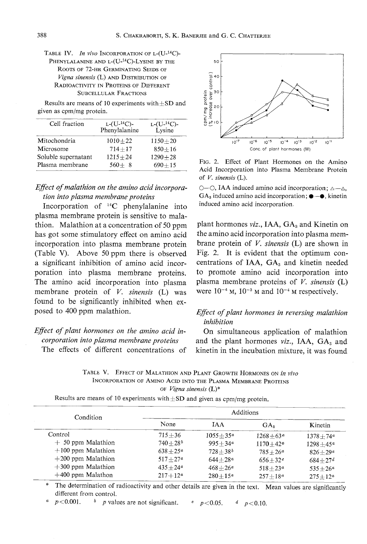TABLE IV. In vivo INCORPORATION OF L-(U-<sup>14</sup>C)-<br>PHENYLALANINE AND L-(U-<sup>14</sup>C)-LYSINE BY THE ROOTS OF 72-HR GERMINATING SEEDS OF Vigna sinensis (L) AND DISTRIBUTION OF Vigna sinensis (L) and Distribution of RADIOACTIVITY IN EROTERS OF DIFFERENT SUBCELLULAR FRACTIONS<br>Results are means of 10 experiments with $\pm$ SD and

 $R$ esults are means of 10 experiments with $\pm$ SD and  $\epsilon$ 

| Cell fraction       | $L$ - $(U$ <sup>-14</sup> C)-<br>Phenylalanine | $L$ - $(U$ - <sup>14</sup> C)-<br><b>Lysine</b> |  |
|---------------------|------------------------------------------------|-------------------------------------------------|--|
| Mitochondria        | $1010 + 22$                                    | $1150 + 20$                                     |  |
| Microsome           | $714 + 17$                                     | $850 + 16$                                      |  |
| Soluble supernatant | $1215 + 24$                                    | $1290 + 28$                                     |  |
| Plasma membrane     | $560 + 8$                                      | $690 + 15$                                      |  |

## Effect of malathion on the amino acid incorpora-<br>tion into plasma membrane proteins

Incorporation of  $^{14}C$  phenylalanine into plasma membrane protein is sensitive to malathion. Malathion at a concentration of 50 ppm has got some stimulatory effect on amino acid incorporation into plasma membrane protein (Table V). Above 50 ppm there is observed  $(1400 \text{ V})$ . Above 50 ppm there is observed a significant inhibition of amino acid incorporation into plasma membrane proteins. The amino acid incorporation into plasma membrane protein of  $V$ . sinensis (L) was<br>found to be significantly inhibited when ex $f_{\text{model}}$  to  $400 \text{ mm}$  malethian  $p \cdot \cdots \cdot p$  per malathion.

# Effect of plant hormones on the amino acid in-<br>corporation into plasma membrane proteins

The effects of different concentrations of



FIG. 2. Effect of Plant Hormones on the Amino<br>Acid Incorporation into Plasma Membrane Protein of  $V$ . sinensis (L).

 $O$ – $O$ , IAA induced amino acid incorporation;  $\triangle -\triangle$ ,  $GA_3$  induced amino acid incorporation;  $\bullet-\bullet$ , kinetin  $\frac{1}{2}$  induced amino acid incorporation induced amino acid incorporation.

plant hormones *viz.*, IAA,  $GA<sub>s</sub>$  and Kinetin on the amino acid incorporation into plasma membrane protein of  $V$ . sinensis (L) are shown in Fig. 2. It is evident that the optimum concentrations of IAA, GA<sub>3</sub> and kinetin needed centrations of IAA, GA3 and military needed to promote amino acid incorporation into plasma membrane proteins of  $\ell$ . sinensis ( $\Delta$ )  $m = 1, m = 10, m = 10, m = 10, m = 10, m = 10, m = 10, m = 10, m = 10, m = 10, m = 10, m = 10, m = 10, m = 10, m = 10, m = 10, m = 10, m = 10, m = 10, m = 10, m = 10, m = 10, m = 10, m = 10, m = 10, m = 10, m = 10, m = 10, m = 10, m = 10, m = 10, m = 10, m = 10, m = 10, m = 10, m = 10, m = 10$ 

## Effect of plant hormones in reversing malathion inhibition

On simultaneous application of malathion On simultaneous application of malathion and the plant hormones  $viz$ , IAA,  $GA_3$  and kinetin in the incubation mixture, it was found

TABLE V. EFFECT OF MALATHION AND FLANT GROWTH HORMONES ON IN VIVO INCORPORATION OF AMINO ACID INTO THE PLASMA MEMBRANE PROTEIN  $\sigma_{\text{F}}$  vigna sinensis (L)

 $R_{\text{R}}$ 

| Condition            | Additions           |                     |                      |                      |
|----------------------|---------------------|---------------------|----------------------|----------------------|
|                      | None                | IAA                 | $GA_{s}$             | Kinetin              |
| Control              | $715 + 36$          | $1055 + 35^a$       | $1268 + 63^a$        | $1378 + 74^{\circ}$  |
| $+50$ ppm Malathion  | $740+28^{b}$        | $995 + 34^a$        | $1170 + 42^{\alpha}$ | $1298 + 45^{\alpha}$ |
| $+100$ ppm Malathion | $638 + 25^a$        | $728 + 38^{b}$      | $785 + 26^{\circ}$   | $826 + 29a$          |
| $+200$ ppm Malathion | $517 + 27^a$        | $644 + 28a$         | $656 + 32c$          | $684 + 27d$          |
| $+300$ ppm Malathion | $435 + 24^{\alpha}$ | $468 + 26^{\alpha}$ | $518 + 23^{\alpha}$  | $535 + 26^{\alpha}$  |
| $+400$ ppm Malathon  | $217 + 12^a$        | $280 + 15^a$        | $257 + 18^{\alpha}$  | $275 + 12^a$         |

The determination of radioactivity and other details are given in the text. Mean values are significantly different from control.

 $p < 0.001$ . <sup>b</sup> p values are not significant. c  $p < 0.05$ . d  $p < 0.10$ .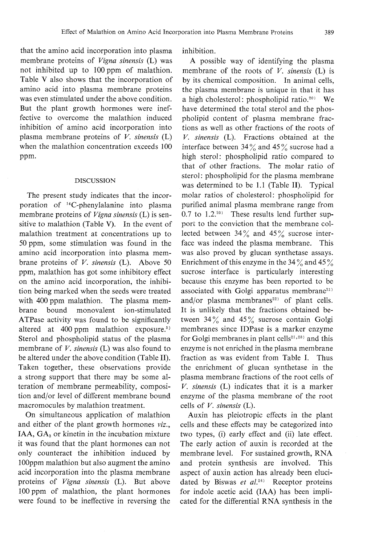that the amino acid incorporation into plasma membrane proteins of *Vigna sinensis* (L) was not inhibited up to 100 ppm of malathion. Table V also shows that the incorporation of amino acid into plasma membrane proteins<br>was even stimulated under the above condition. was even stimulated under the above condition. But the plant growth hormones were ineffective to overcome the malathion induced inhibition of amino acid incorporation into<br>plasma membrane proteins of  $V$ . sinensis  $(L)$  $\frac{1}{\omega}$  when the malathion concentration exceeds  $100$ when the malathion concentration exceeds 100 ppm.

## DISCUSSION

The present study indicates that the incorporation of <sup>14</sup>C-phenylalanine into plasma<br>membrane proteins of *Vigna sinensis* (L) is sensitive to malathion (Table V). In the event of malathion treatment at concentrations up to malathion treatment at concentrations up to 50ppm, some stimulation was found in the  $\frac{1}{2}$  brane proteins of *V. sinensis* (L). Above 50 on the amino acid incorporation, the inhibition being marked when the seeds were treated<br>with 400 ppm malathion. The plasma membrane bound monovalent ion-stimulated ATPase activity was found to be significantly Attached activity was found to be significant altered at 400 ppm malathion exposure. membrane of  $V$ . sinensis (L) was also found to be altered under the above condition (Table II). be altered under the above condition (Table II). Taken together, these observations provide a strong support that there may be some alteration of membrane permeability, composition and/or level of different membrane bound macromocules by malathion treatment.

On simultaneous application of malathion and either of the plant growth hormones *viz*. IAA,  $GA<sub>3</sub>$  or kinetin in the incubation mixture it was found that the plant hormones can not  $\overline{\text{in}}$  counterest the inhibition induced by only counteract the inhibition induced by 100ppm malathion but also augment the amino acid incorporation into the plasma membrane proteins of Vigna sinensis (L). But above  $\frac{1}{2}$  found to be ineffective in reversing the were found to be ineffective in reversing the

inhibition.

A possible way of identifying the plasma membrane of the roots of  $V$ . sinensis (L) is by its chemical composition. In animal cells, the plasma membrane is unique in that it has a high cholesterol: phospholipid ratio.<sup>20)</sup> We have determined the total sterol and the phospholipid content of plasma membrane fractions as well as other fractions of the roots of V. sinensis (L). Fractions obtained at the  $\frac{1}{2}$  bigh stars! phospholipid ratio compared to high sterol: phospholipid ratio compared to that of other fractions. The molar ratio of sterol: phospholipid for the plasma membrane was determined to be 1.1 (Table II). Typical  $\frac{1}{1}$ . The determined to be 1.1 (Table II). Typical molar ratios of cholesterol: phospholipid for  $0.7$  to  $1.2^{20}$  These results lend further support to the conviction that the membrane colport to the conviction that the membrane collected between  $34\frac{1}{9}$  and  $43\frac{1}{9}$  sucrose intermer was indeed the plasma membrane. was also proved by glucan synthetase assay  $\frac{1}{2}$  encrose interface is nexticularly interesting sucrose interface is particularly interest because this enzyme has been reported to be associated with Golgi apparatus membrane<sup>21)</sup> and/or plasma membranes<sup>22)</sup> of plant cells and/or plasma membranes 201 plant cens It is unlikely that the fractions obtained between  $34\%$  and  $45\%$  sucrose contain Golgi<br>membranes since IDPase is a marker enzyme for Golgi membranes in plant cells<sup>21,28)</sup> and this enzyme is not enriched in the plasma membrane fraction as was evident from Table I. Thus the enrichment of glucan synthetase in the plasma membrane fractions of the root cells of V. sinensis  $(L)$  indicates that it is a marker enzyme of the plasma membrane of the root cells of  $V$ . sinensis (L).

Auxin has pleiotropic effects in the plant cells and these effects may be categorized into cells and these excels may be categorized into two types, (i) early effect and (ii) late effect. The early action of auxin is recorded at the membrane level. For sustained growth, RNA and protein synthesis are involved. This  $\overline{A}$  and hy Riewes at  $a^{124}$ . Peceptor proteing dated by Biswas et al. Receptor proteins for indole acetic acid (IAA) has been impli-

cated for the differential RNAsynthesis in the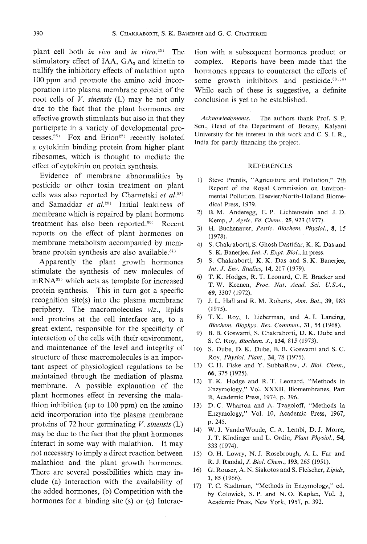plant cell both *in vivo* and *in vitro*.<sup>25)</sup> The stimulatory effect of IAA,  $GA_3$  and kinetin to nullify the inhibitory effects of malathion upto 100 ppm and promote the amino acid incorporation into plasma membrane protein of the root cells of  $V$ . sinensis (L) may be not only due to the fact that the plant hormones are participate in a variety of developmental processes.<sup>26)</sup> Fox and Erion<sup>27)</sup> recently isolated a cytokinin binding protein from higher plant effect of cytokinin on protein synthesis.

 $\sum_{\substack{n=1\\n \text{odd}}}$ Evidence of membrane abnormalities by pesticide or other toxin treatment on plant cells was also reported by Charnetski et  $al.^{28)}$ cells  $C_{\text{cusp}}$  denoted by  $C_{\text{cusp}}$  (199)  $\mathbf{r}$  is the algebra et al. and Samaddar et  $aL^{20}$  Initial leakiness of membrane which is repaired by plant hormone  $t$ reatment has also been reported. Recent reports on the effect of plant hormones on<br>membrane metabolism accompanied by membrane protein synthesis are also available.<sup>31)</sup>

branch protein synthesis are also available. Apparently the plant growth hormone stimulate the synthesis of new molecules of mRNA<sup>32)</sup> which acts as template for increased  $m$ <sub>22</sub>) which acts as temperature for interests  $m$ protein synthesis. This in turn got a specific  $r_{\text{re}}$  into the place of the place  $\hat{v}$  into the place members of the planet members  $\hat{v}$ periphery. The macromolecules  $viz$ , lipid and proteins at the cell interface are, to a great extent, responsible for the specificity of interaction of the cells with their environment, and maintenance of the level and integrity of structure of these macromolecules is an important aspect of physiological regulations to be maintained through the mediation of plasma maintained through the mediation of plasma<br>membrane. A possible explanation of the plant hormones effect in reversing the mala-<br>thion inhibition (up to 100 ppm) on the amino acid incorporation into the plasma membrane proteins of 72 hour germinating V. sinensis  $(L)$ may be due to the fact that the plant hormones interact in some way with malathion. It may not necessary to imply a direct reaction between. malathion and the plant growth hormones.<br>There are several possibilities which may include (a) Interaction with the availability of the added hormones, (b) Competition with the hormones for a binding site  $(s)$  or  $(c)$  Interaction with a subsequent hormones product or<br>complex. Reports have been made that the complex. Reports have been made that the hormones appears to counteract the effects of some growth inhibitors and pesticide. $33,34)$ While each of these is suggestive, a definite conclusion is yet to be established. conclusion is yet to be established.

Acknowledgments. The authors thank Prof. S. P. Sen., Head of the Department of Botany, Kalyani<br>University for his interest in this work and C. S. I. R., India for partly financing the project.

### REFERENCES

- 1) Steve Prentis, "Agriculture and Pollution," 7th Report of the Royal Commission on Environmental Pollution, Elsevier/North-Holland Biomedical Press, 1979.<br>2) B. M. Anderegg, E. P. Lichtenstein and J. D.
- Kemp, J. Agric. Fd. Chem., 25, 923 (1977).
- 3) H. Buchenauer, *Pestic. Biochem. Physiol.*, 8, 15 (1978).
- 4) S. Chakraborti, S. Ghosh Dastidar, K. K. Das and S. K. Banerjee, *Ind. J. Expt. Biol.*, in press.
- S. Chakraborti, K. K. Das and S. K. Banerjee, Int. J. Env. Studies, 14, 217 (1979).
- 6) T. K. Hodges, R.T. Leonard, C. E. Bracker and T.W. Keenen, Proc. Nat. Acad. Sci. U.S.A., 69, 3307 (1972).
- 7) J. L. Hall and R, M. Roberts, Ann. Bot., 39, 983 (1975).
- 8) T. K. Roy, I. Lieberman, and A. I. Lancing, Biochem. Biophys. Res. Commun., 31, 54 (1968).
- 9) B. B. Goswami, S. Chakraborti, D. K. Dube and S. C. Roy, Biochem. J., 134, 815 (1973).
- 10) S. Dube, D. K. Dube, B. B. Goswami and S. Roy, Physiol. Plant., 34, <sup>78</sup> (1975).
- 11) C. H. Fiske and Y. SubbaRow, J. Biol. Chem., 66, 375 (1925),
- 12) T. K. Hodge and R. T. Leonard, "Methods in Enzymology," Vol. XXXII, Biomembranes, Part B, Academic Press, 1974, p. 396.
- 13) D. C. Wharton and A. Tzagoloff, "Methods in 13) D. C. Wharton and A. Tzagoloff, "Methods in Enzymology," Vol. 10, Academic Press, 1967, p.245.
- 14) W. J. Vanderwoode, C. Lembi, D. J. Morre, C. A. Lembi, D. J. Morre, D. J. Morre, D. J. Morre, D. J. Morre, J. T. Kindinger and L. Ordin, Plant Physion, 64 333 (1974).
- 15) O.H. Lowry, N.J. Rosebrough, A.L. Far and R. J. Randal, *J. Biol. Chem.*, 193, 265 (1951).<br>16) G. Rouser, A. N. Siakotos and S. Fleischer, *Lipids*,
- $1, 85$  (1966).
- 17) T. C. Stadtman, "Methods in Enzymology," ed.<br>by Colowick, S. P. and N. O. Kaplan, Vol. 3, by Colomba, S.P. and N.O. Kaplan, Vol. 3  $P_{\text{reducible}}$  Press, New York, 1957, p. 392.